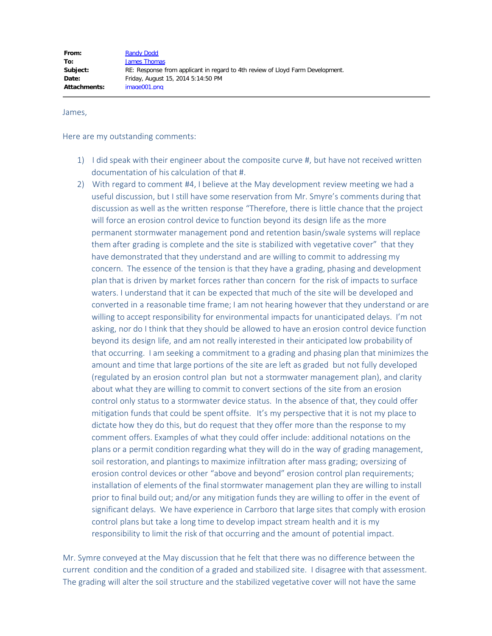James,

Here are my outstanding comments:

- 1) I did speak with their engineer about the composite curve #, but have not received written documentation of his calculation of that #.
- 2) With regard to comment #4, I believe at the May development review meeting we had a useful discussion, but I still have some reservation from Mr. Smyre's comments during that discussion as well as the written response "Therefore, there is little chance that the project will force an erosion control device to function beyond its design life as the more permanent stormwater management pond and retention basin/swale systems will replace them after grading is complete and the site is stabilized with vegetative cover" that they have demonstrated that they understand and are willing to commit to addressing my concern. The essence of the tension is that they have a grading, phasing and development plan that is driven by market forces rather than concern for the risk of impacts to surface waters. I understand that it can be expected that much of the site will be developed and converted in a reasonable time frame; I am not hearing however that they understand or are willing to accept responsibility for environmental impacts for unanticipated delays. I'm not asking, nor do I think that they should be allowed to have an erosion control device function beyond its design life, and am not really interested in their anticipated low probability of that occurring. I am seeking a commitment to a grading and phasing plan that minimizes the amount and time that large portions of the site are left as graded but not fully developed (regulated by an erosion control plan but not a stormwater management plan), and clarity about what they are willing to commit to convert sections of the site from an erosion control only status to a stormwater device status. In the absence of that, they could offer mitigation funds that could be spent offsite. It's my perspective that it is not my place to dictate how they do this, but do request that they offer more than the response to my comment offers. Examples of what they could offer include: additional notations on the plans or a permit condition regarding what they will do in the way of grading management, soil restoration, and plantings to maximize infiltration after mass grading; oversizing of erosion control devices or other "above and beyond" erosion control plan requirements; installation of elements of the final stormwater management plan they are willing to install prior to final build out; and/or any mitigation funds they are willing to offer in the event of significant delays. We have experience in Carrboro that large sites that comply with erosion control plans but take a long time to develop impact stream health and it is my responsibility to limit the risk of that occurring and the amount of potential impact.

Mr. Symre conveyed at the May discussion that he felt that there was no difference between the current condition and the condition of a graded and stabilized site. I disagree with that assessment. The grading will alter the soil structure and the stabilized vegetative cover will not have the same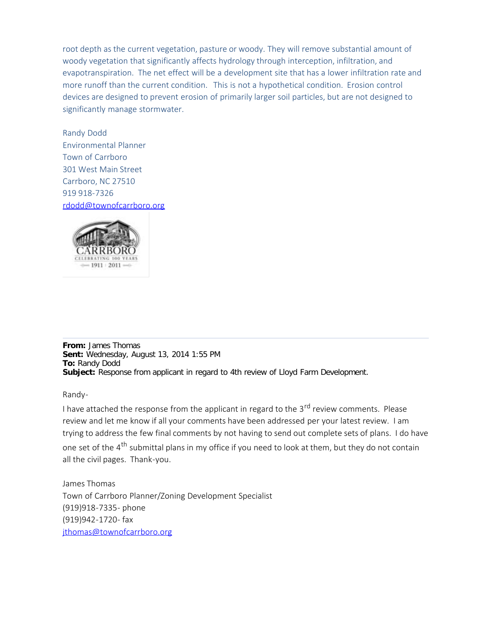root depth as the current vegetation, pasture or woody. They will remove substantial amount of woody vegetation that significantly affects hydrology through interception, infiltration, and evapotranspiration. The net effect will be a development site that has a lower infiltration rate and more runoff than the current condition. This is not a hypothetical condition. Erosion control devices are designed to prevent erosion of primarily larger soil particles, but are not designed to significantly manage stormwater.

Randy Dodd Environmental Planner Town of Carrboro 301 West Main Street Carrboro, NC 27510 919 918-7326 [rdodd@townofcarrboro.org](mailto:rdodd@townofcarrboro.org)



**From:** James Thomas **Sent:** Wednesday, August 13, 2014 1:55 PM **To:** Randy Dodd **Subject:** Response from applicant in regard to 4th review of Lloyd Farm Development.

Randy-

I have attached the response from the applicant in regard to the 3<sup>rd</sup> review comments. Please review and let me know if all your comments have been addressed per your latest review. I am trying to address the few final comments by not having to send out complete sets of plans. I do have one set of the 4<sup>th</sup> submittal plans in my office if you need to look at them, but they do not contain all the civil pages. Thank-you.

James Thomas Town of Carrboro Planner/Zoning Development Specialist (919)918-7335- phone (919)942-1720- fax [jthomas@townofcarrboro.org](mailto:jthomas@townofcarrboro.org)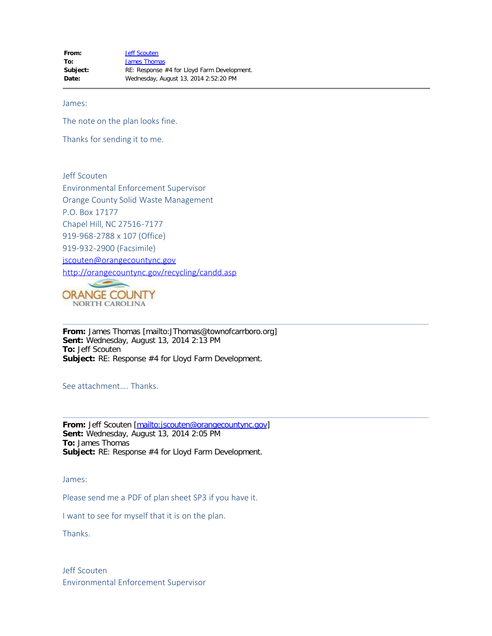James:

The note on the plan looks fine.

Thanks for sending it to me.

Jeff Scouten Environmental Enforcement Supervisor Orange County Solid Waste Management P.O. Box 17177 Chapel Hill, NC 27516-7177 919-968-2788 x 107 (Office) 919-932-2900 (Facsimile) [jscouten@orangecountync.gov](mailto:jscouten@co.orange.nc.us) <http://orangecountync.gov/recycling/candd.asp>



**From:** James Thomas [mailto:JThomas@townofcarrboro.org] **Sent:** Wednesday, August 13, 2014 2:13 PM **To:** Jeff Scouten **Subject:** RE: Response #4 for Lloyd Farm Development.

See attachment…. Thanks.

From: Jeff Scouten [\[mailto:jscouten@orangecountync.gov](mailto:jscouten@orangecountync.gov)] **Sent:** Wednesday, August 13, 2014 2:05 PM **To:** James Thomas **Subject:** RE: Response #4 for Lloyd Farm Development.

James:

Please send me a PDF of plan sheet SP3 if you have it.

I want to see for myself that it is on the plan.

Thanks.

Jeff Scouten Environmental Enforcement Supervisor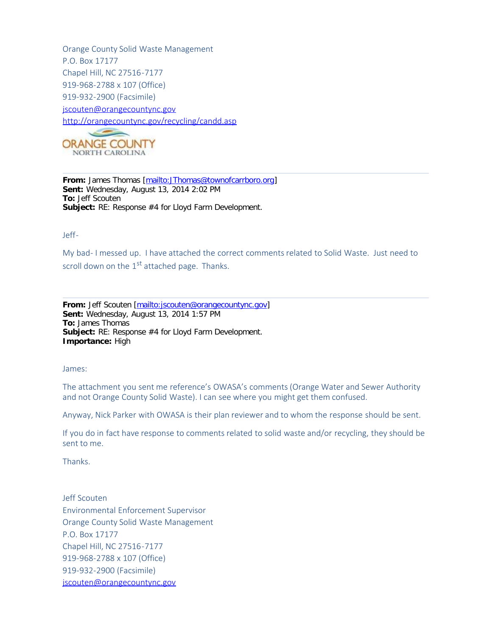Orange County Solid Waste Management P.O. Box 17177 Chapel Hill, NC 27516-7177 919-968-2788 x 107 (Office) 919-932-2900 (Facsimile) [jscouten@orangecountync.gov](mailto:jscouten@co.orange.nc.us) <http://orangecountync.gov/recycling/candd.asp>



**From:** James Thomas [[mailto:JThomas@townofcarrboro.org\]](mailto:JThomas@townofcarrboro.org) **Sent:** Wednesday, August 13, 2014 2:02 PM **To:** Jeff Scouten **Subject:** RE: Response #4 for Lloyd Farm Development.

### Jeff-

My bad- I messed up. I have attached the correct comments related to Solid Waste. Just need to scroll down on the  $1<sup>st</sup>$  attached page. Thanks.

**From:** Jeff Scouten [\[mailto:jscouten@orangecountync.gov](mailto:jscouten@orangecountync.gov)] **Sent:** Wednesday, August 13, 2014 1:57 PM **To:** James Thomas **Subject:** RE: Response #4 for Lloyd Farm Development. **Importance:** High

James:

The attachment you sent me reference's OWASA's comments (Orange Water and Sewer Authority and not Orange County Solid Waste). I can see where you might get them confused.

Anyway, Nick Parker with OWASA is their plan reviewer and to whom the response should be sent.

If you do in fact have response to comments related to solid waste and/or recycling, they should be sent to me.

Thanks.

Jeff Scouten Environmental Enforcement Supervisor Orange County Solid Waste Management P.O. Box 17177 Chapel Hill, NC 27516-7177 919-968-2788 x 107 (Office) 919-932-2900 (Facsimile) [jscouten@orangecountync.gov](mailto:jscouten@co.orange.nc.us)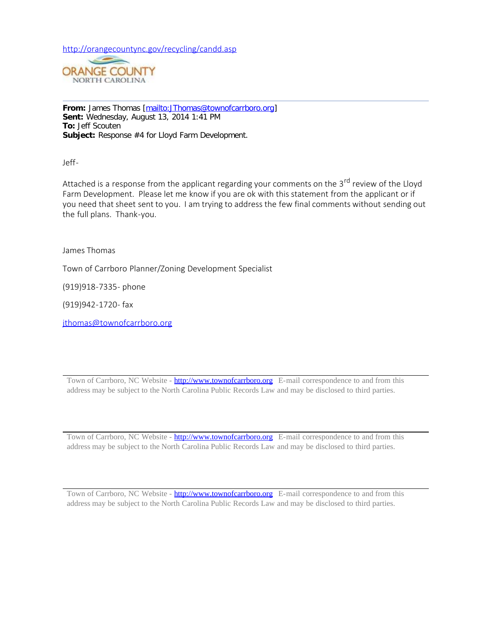<http://orangecountync.gov/recycling/candd.asp>



**From:** James Thomas [[mailto:JThomas@townofcarrboro.org\]](mailto:JThomas@townofcarrboro.org) **Sent:** Wednesday, August 13, 2014 1:41 PM **To:** Jeff Scouten **Subject:** Response #4 for Lloyd Farm Development.

Jeff-

Attached is a response from the applicant regarding your comments on the 3<sup>rd</sup> review of the Lloyd Farm Development. Please let me know if you are ok with this statement from the applicant or if you need that sheet sent to you. I am trying to address the few final comments without sending out the full plans. Thank-you.

James Thomas

Town of Carrboro Planner/Zoning Development Specialist

(919)918-7335- phone

(919)942-1720- fax

[jthomas@townofcarrboro.org](mailto:jthomas@townofcarrboro.org)

Town of Carrboro, NC Website - [http://www.townofcarrboro.org](http://www.townofcarrboro.org/) E-mail correspondence to and from this address may be subject to the North Carolina Public Records Law and may be disclosed to third parties.

Town of Carrboro, NC Website - [http://www.townofcarrboro.org](http://www.townofcarrboro.org/) E-mail correspondence to and from this address may be subject to the North Carolina Public Records Law and may be disclosed to third parties.

Town of Carrboro, NC Website - [http://www.townofcarrboro.org](http://www.townofcarrboro.org/) E-mail correspondence to and from this address may be subject to the North Carolina Public Records Law and may be disclosed to third parties.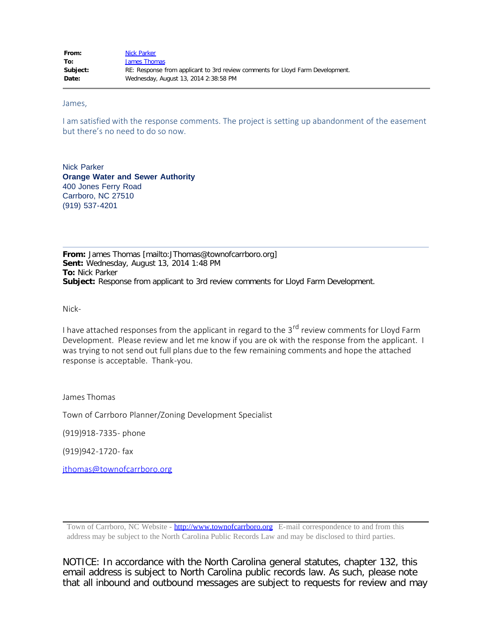James,

I am satisfied with the response comments. The project is setting up abandonment of the easement but there's no need to do so now.

Nick Parker **Orange Water and Sewer Authority** 400 Jones Ferry Road Carrboro, NC 27510 (919) 537-4201

**From:** James Thomas [mailto:JThomas@townofcarrboro.org] **Sent:** Wednesday, August 13, 2014 1:48 PM **To:** Nick Parker **Subject:** Response from applicant to 3rd review comments for Lloyd Farm Development.

Nick-

I have attached responses from the applicant in regard to the 3<sup>rd</sup> review comments for Lloyd Farm Development. Please review and let me know if you are ok with the response from the applicant. I was trying to not send out full plans due to the few remaining comments and hope the attached response is acceptable. Thank-you.

James Thomas

Town of Carrboro Planner/Zoning Development Specialist

(919)918-7335- phone

(919)942-1720- fax

[jthomas@townofcarrboro.org](mailto:jthomas@townofcarrboro.org)

Town of Carrboro, NC Website - [http://www.townofcarrboro.org](http://www.townofcarrboro.org/) E-mail correspondence to and from this address may be subject to the North Carolina Public Records Law and may be disclosed to third parties.

NOTICE: In accordance with the North Carolina general statutes, chapter 132, this email address is subject to North Carolina public records law. As such, please note that all inbound and outbound messages are subject to requests for review and may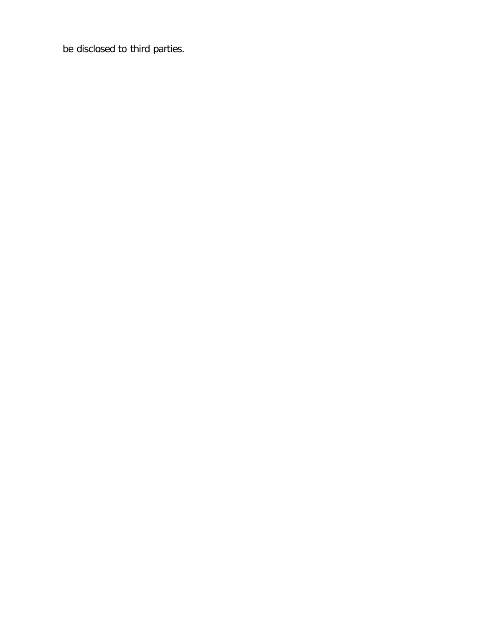be disclosed to third parties.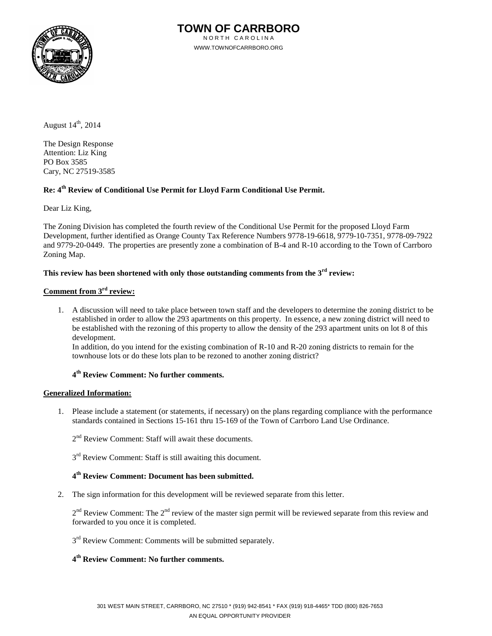

August  $14<sup>th</sup>$ , 2014

The Design Response Attention: Liz King PO Box 3585 Cary, NC 27519-3585

# **Re: 4th Review of Conditional Use Permit for Lloyd Farm Conditional Use Permit.**

Dear Liz King,

The Zoning Division has completed the fourth review of the Conditional Use Permit for the proposed Lloyd Farm Development, further identified as Orange County Tax Reference Numbers 9778-19-6618, 9779-10-7351, 9778-09-7922 and 9779-20-0449. The properties are presently zone a combination of B-4 and R-10 according to the Town of Carrboro Zoning Map.

# **This review has been shortened with only those outstanding comments from the 3rd review:**

# **Comment from 3rd review:**

1. A discussion will need to take place between town staff and the developers to determine the zoning district to be established in order to allow the 293 apartments on this property. In essence, a new zoning district will need to be established with the rezoning of this property to allow the density of the 293 apartment units on lot 8 of this development.

In addition, do you intend for the existing combination of R-10 and R-20 zoning districts to remain for the townhouse lots or do these lots plan to be rezoned to another zoning district?

# **4th Review Comment: No further comments.**

### **Generalized Information:**

1. Please include a statement (or statements, if necessary) on the plans regarding compliance with the performance standards contained in Sections 15-161 thru 15-169 of the Town of Carrboro Land Use Ordinance.

2<sup>nd</sup> Review Comment: Staff will await these documents.

 $3<sup>rd</sup>$  Review Comment: Staff is still awaiting this document.

### **4th Review Comment: Document has been submitted.**

2. The sign information for this development will be reviewed separate from this letter.

 $2<sup>nd</sup>$  Review Comment: The  $2<sup>nd</sup>$  review of the master sign permit will be reviewed separate from this review and forwarded to you once it is completed.

 $3<sup>rd</sup>$  Review Comment: Comments will be submitted separately.

# **4th Review Comment: No further comments.**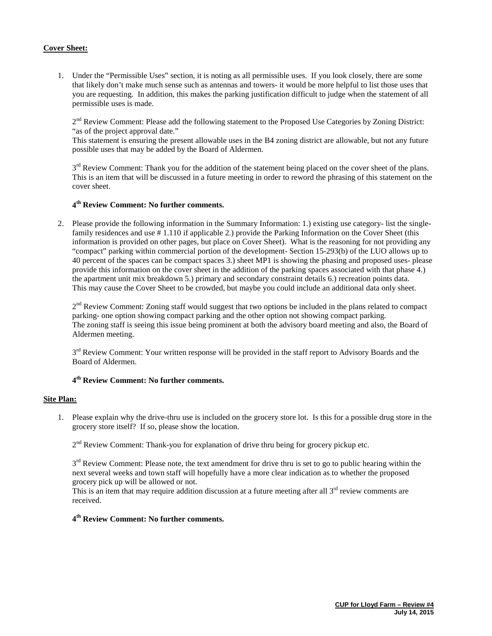### **Cover Sheet:**

1. Under the "Permissible Uses" section, it is noting as all permissible uses. If you look closely, there are some that likely don't make much sense such as antennas and towers- it would be more helpful to list those uses that you are requesting. In addition, this makes the parking justification difficult to judge when the statement of all permissible uses is made.

 $2<sup>nd</sup>$  Review Comment: Please add the following statement to the Proposed Use Categories by Zoning District: "as of the project approval date."

This statement is ensuring the present allowable uses in the B4 zoning district are allowable, but not any future possible uses that may be added by the Board of Aldermen.

3<sup>rd</sup> Review Comment: Thank you for the addition of the statement being placed on the cover sheet of the plans. This is an item that will be discussed in a future meeting in order to reword the phrasing of this statement on the cover sheet.

## **4th Review Comment: No further comments.**

2. Please provide the following information in the Summary Information: 1.) existing use category- list the singlefamily residences and use # 1.110 if applicable 2.) provide the Parking Information on the Cover Sheet (this information is provided on other pages, but place on Cover Sheet). What is the reasoning for not providing any "compact" parking within commercial portion of the development- Section 15-293(b) of the LUO allows up to 40 percent of the spaces can be compact spaces 3.) sheet MP1 is showing the phasing and proposed uses- please provide this information on the cover sheet in the addition of the parking spaces associated with that phase 4.) the apartment unit mix breakdown 5.) primary and secondary constraint details 6.) recreation points data. This may cause the Cover Sheet to be crowded, but maybe you could include an additional data only sheet.

 $2<sup>nd</sup>$  Review Comment: Zoning staff would suggest that two options be included in the plans related to compact parking- one option showing compact parking and the other option not showing compact parking. The zoning staff is seeing this issue being prominent at both the advisory board meeting and also, the Board of Aldermen meeting.

 $3<sup>rd</sup>$  Review Comment: Your written response will be provided in the staff report to Advisory Boards and the Board of Aldermen.

# **4th Review Comment: No further comments.**

#### **Site Plan:**

1. Please explain why the drive-thru use is included on the grocery store lot. Is this for a possible drug store in the grocery store itself? If so, please show the location.

 $2<sup>nd</sup>$  Review Comment: Thank-you for explanation of drive thru being for grocery pickup etc.

3<sup>rd</sup> Review Comment: Please note, the text amendment for drive thru is set to go to public hearing within the next several weeks and town staff will hopefully have a more clear indication as to whether the proposed grocery pick up will be allowed or not.

This is an item that may require addition discussion at a future meeting after all  $3<sup>rd</sup>$  review comments are received.

#### **4th Review Comment: No further comments.**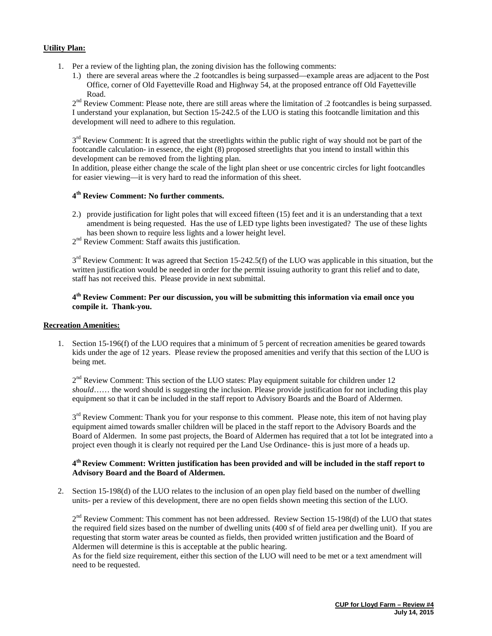## **Utility Plan:**

- 1. Per a review of the lighting plan, the zoning division has the following comments:
	- 1.) there are several areas where the .2 footcandles is being surpassed—example areas are adjacent to the Post Office, corner of Old Fayetteville Road and Highway 54, at the proposed entrance off Old Fayetteville Road.

2<sup>nd</sup> Review Comment: Please note, there are still areas where the limitation of .2 footcandles is being surpassed. I understand your explanation, but Section 15-242.5 of the LUO is stating this footcandle limitation and this development will need to adhere to this regulation.

 $3<sup>rd</sup>$  Review Comment: It is agreed that the streetlights within the public right of way should not be part of the footcandle calculation- in essence, the eight (8) proposed streetlights that you intend to install within this development can be removed from the lighting plan.

In addition, please either change the scale of the light plan sheet or use concentric circles for light footcandles for easier viewing—it is very hard to read the information of this sheet.

### **4th Review Comment: No further comments.**

- 2.) provide justification for light poles that will exceed fifteen (15) feet and it is an understanding that a text amendment is being requested. Has the use of LED type lights been investigated? The use of these lights has been shown to require less lights and a lower height level.
- 2<sup>nd</sup> Review Comment: Staff awaits this justification.

 $3<sup>rd</sup>$  Review Comment: It was agreed that Section 15-242.5(f) of the LUO was applicable in this situation, but the written justification would be needed in order for the permit issuing authority to grant this relief and to date, staff has not received this. Please provide in next submittal.

# **4th Review Comment: Per our discussion, you will be submitting this information via email once you compile it. Thank-you.**

### **Recreation Amenities:**

1. Section 15-196(f) of the LUO requires that a minimum of 5 percent of recreation amenities be geared towards kids under the age of 12 years. Please review the proposed amenities and verify that this section of the LUO is being met.

 $2<sup>nd</sup>$  Review Comment: This section of the LUO states: Play equipment suitable for children under 12 *should*…… the word should is suggesting the inclusion. Please provide justification for not including this play equipment so that it can be included in the staff report to Advisory Boards and the Board of Aldermen.

 $3<sup>rd</sup>$  Review Comment: Thank you for your response to this comment. Please note, this item of not having play equipment aimed towards smaller children will be placed in the staff report to the Advisory Boards and the Board of Aldermen. In some past projects, the Board of Aldermen has required that a tot lot be integrated into a project even though it is clearly not required per the Land Use Ordinance- this is just more of a heads up.

### **4th Review Comment: Written justification has been provided and will be included in the staff report to Advisory Board and the Board of Aldermen.**

2. Section 15-198(d) of the LUO relates to the inclusion of an open play field based on the number of dwelling units- per a review of this development, there are no open fields shown meeting this section of the LUO.

 $2<sup>nd</sup>$  Review Comment: This comment has not been addressed. Review Section 15-198(d) of the LUO that states the required field sizes based on the number of dwelling units (400 sf of field area per dwelling unit). If you are requesting that storm water areas be counted as fields, then provided written justification and the Board of Aldermen will determine is this is acceptable at the public hearing.

As for the field size requirement, either this section of the LUO will need to be met or a text amendment will need to be requested.